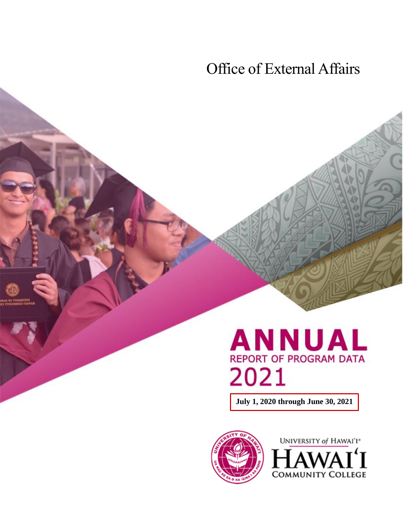## Office of External Affairs

# **ANNUAL REPORT OF PROGRAM DATA** 2021

**July 1, 2020 through June 30, 2021**



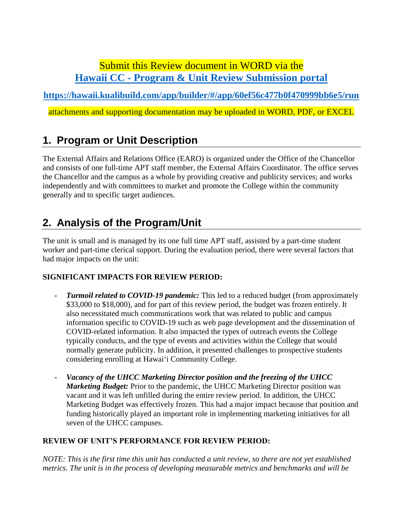### Submit this Review document in WORD via the **Hawaii CC - [Program & Unit Review Submission portal](https://hawaii.kualibuild.com/app/builder/#/app/60ef56c477b0f470999bb6e5/run)**

**<https://hawaii.kualibuild.com/app/builder/#/app/60ef56c477b0f470999bb6e5/run>**

attachments and supporting documentation may be uploaded in WORD, PDF, or EXCEL

## **1. Program or Unit Description**

The External Affairs and Relations Office (EARO) is organized under the Office of the Chancellor and consists of one full-time APT staff member, the External Affairs Coordinator. The office serves the Chancellor and the campus as a whole by providing creative and publicity services; and works independently and with committees to market and promote the College within the community generally and to specific target audiences.

## **2. Analysis of the Program/Unit**

The unit is small and is managed by its one full time APT staff, assisted by a part-time student worker and part-time clerical support. During the evaluation period, there were several factors that had major impacts on the unit:

#### **SIGNIFICANT IMPACTS FOR REVIEW PERIOD:**

- *- Turmoil related to COVID-19 pandemic:* This led to a reduced budget (from approximately \$33,000 to \$18,000), and for part of this review period, the budget was frozen entirely. It also necessitated much communications work that was related to public and campus information specific to COVID-19 such as web page development and the dissemination of COVID-related information. It also impacted the types of outreach events the College typically conducts, and the type of events and activities within the College that would normally generate publicity. In addition, it presented challenges to prospective students considering enrolling at Hawai'i Community College.
- *- Vacancy of the UHCC Marketing Director position and the freezing of the UHCC Marketing Budget:* Prior to the pandemic, the UHCC Marketing Director position was vacant and it was left unfilled during the entire review period. In addition, the UHCC Marketing Budget was effectively frozen. This had a major impact because that position and funding historically played an important role in implementing marketing initiatives for all seven of the UHCC campuses.

#### **REVIEW OF UNIT'S PERFORMANCE FOR REVIEW PERIOD:**

*NOTE: This is the first time this unit has conducted a unit review, so there are not yet established metrics. The unit is in the process of developing measurable metrics and benchmarks and will be*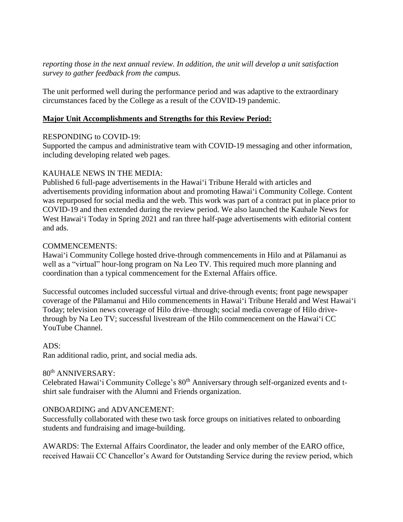#### *reporting those in the next annual review. In addition, the unit will develop a unit satisfaction survey to gather feedback from the campus.*

The unit performed well during the performance period and was adaptive to the extraordinary circumstances faced by the College as a result of the COVID-19 pandemic.

#### **Major Unit Accomplishments and Strengths for this Review Period:**

#### RESPONDING to COVID-19:

Supported the campus and administrative team with COVID-19 messaging and other information, including developing related web pages.

#### KAUHALE NEWS IN THE MEDIA:

Published 6 full-page advertisements in the Hawai'i Tribune Herald with articles and advertisements providing information about and promoting Hawai'i Community College. Content was repurposed for social media and the web. This work was part of a contract put in place prior to COVID-19 and then extended during the review period. We also launched the Kauhale News for West Hawai'i Today in Spring 2021 and ran three half-page advertisements with editorial content and ads.

#### COMMENCEMENTS:

Hawai'i Community College hosted drive-through commencements in Hilo and at Pālamanui as well as a "virtual" hour-long program on Na Leo TV. This required much more planning and coordination than a typical commencement for the External Affairs office.

Successful outcomes included successful virtual and drive-through events; front page newspaper coverage of the Pālamanui and Hilo commencements in Hawai'i Tribune Herald and West Hawai'i Today; television news coverage of Hilo drive–through; social media coverage of Hilo drivethrough by Na Leo TV; successful livestream of the Hilo commencement on the Hawai'i CC YouTube Channel.

#### $ADS:$

Ran additional radio, print, and social media ads.

#### 80th ANNIVERSARY:

Celebrated Hawai'i Community College's  $80<sup>th</sup>$  Anniversary through self-organized events and tshirt sale fundraiser with the Alumni and Friends organization.

#### ONBOARDING and ADVANCEMENT:

Successfully collaborated with these two task force groups on initiatives related to onboarding students and fundraising and image-building.

AWARDS: The External Affairs Coordinator, the leader and only member of the EARO office, received Hawaii CC Chancellor's Award for Outstanding Service during the review period, which